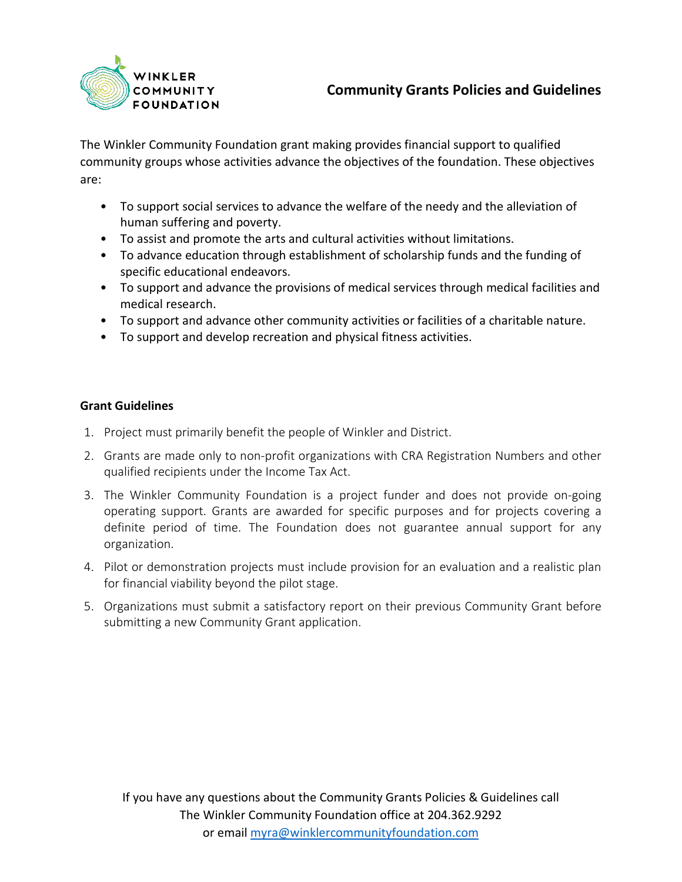

The Winkler Community Foundation grant making provides financial support to qualified community groups whose activities advance the objectives of the foundation. These objectives are:

- To support social services to advance the welfare of the needy and the alleviation of human suffering and poverty.
- To assist and promote the arts and cultural activities without limitations.
- To advance education through establishment of scholarship funds and the funding of specific educational endeavors.
- To support and advance the provisions of medical services through medical facilities and medical research.
- To support and advance other community activities or facilities of a charitable nature.
- To support and develop recreation and physical fitness activities.

## **Grant Guidelines**

- 1. Project must primarily benefit the people of Winkler and District.
- 2. Grants are made only to non-profit organizations with CRA Registration Numbers and other qualified recipients under the Income Tax Act.
- 3. The Winkler Community Foundation is a project funder and does not provide on-going operating support. Grants are awarded for specific purposes and for projects covering a definite period of time. The Foundation does not guarantee annual support for any organization.
- 4. Pilot or demonstration projects must include provision for an evaluation and a realistic plan for financial viability beyond the pilot stage.
- 5. Organizations must submit a satisfactory report on their previous Community Grant before submitting a new Community Grant application.